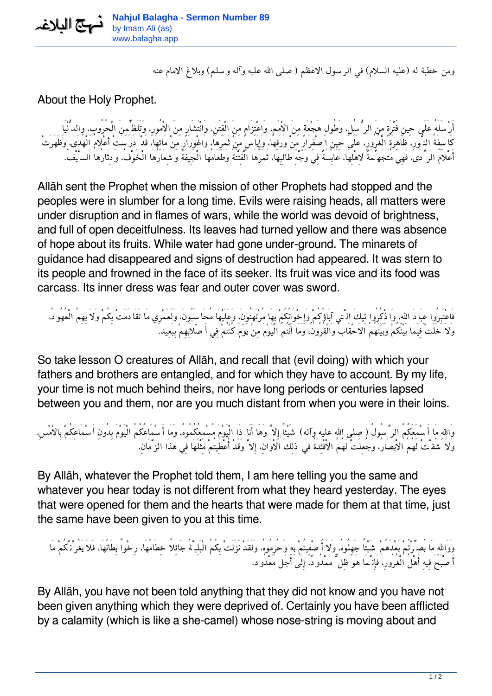*ومن خطبة له (عليه السلام) في الرسول الاعظم (صلى االله عليه وآله وسلم) وبلاغ الامام عنه*

About the Holy Prophet.

*أَرْسَلَهُ عَلَى حِينِ فَتْرَةٍ مِنَ الرُّسُل،ِ وَطُولِ هَجْعَةٍ مِنَ الاْمَم،ِ وَاعْتِزَامٍ مِنَ الْفِتَن،ِ وَانْتَشَارٍ مِنَ الاْمُور،ِ وَتَلَظٍّمِنَ الْحُرُوب،ِ والدُّنْيَا كَاسِفَةُ النُّور،ِ ظَاهِرَةُ الْغُرُور،ِ عَلَى حِينِ اصْفِرَارٍ مِنْ وَرَقِهَا، وَإِيَاسٍ مِنْ ثَمَرِهَا، وَاغْوِرَارٍ مِنْ مَائِهَا، قَدْ دَرَسَتْ أعْلامُ الْهُدَى، وَظَهَرَتْ أَعْلاَمُ الرِّدَى، فَهِيَ مُتَجَهِّمَةٌ لاِهْلِهَا، عَابِسَةٌ فِي وَجْهِ طَالِبِهَا، ثَمَرُهَا الْفِتْنَةُ وَطَعَامُهَا الْجِيفَةُ وَشِعَارُهَا الْخَوْف،ُ وَدِثَارُهَا السَّيْف.ُ*

Allāh sent the Prophet when the mission of other Prophets had stopped and the peoples were in slumber for a long time. Evils were raising heads, all matters were under disruption and in flames of wars, while the world was devoid of brightness, and full of open deceitfulness. Its leaves had turned yellow and there was absence of hope about its fruits. While water had gone under-ground. The minarets of guidance had disappeared and signs of destruction had appeared. It was stern to its people and frowned in the face of its seeker. Its fruit was vice and its food was carcass. Its inner dress was fear and outer cover was sword.

*فَاعْتَبِرُوا عِبَادَ االله،ِ وَاذْكُرُوا تِيكَ الَّتي آبَاؤُكُمْ وَإِخْوَانُكُمْ بِهَا مُرْتَهَنُون،َ وَعَلَيْهَا مُحَاسَبُون.َ وَلَعَمْرِي مَا تَقَادَمَتْ بِكُمْ وَلاَ بِهِمُ الْعُهُود،ُ وَلاَ خَلَتْ فِيَما بَيْنَكُمْ وَبَيْنَهُمُ الاَحْقَابُ وَالْقُرُون،ُ وَمَا أَنْتُمُ الْيَوْمَ مِنْ يَوْمَ كُنْتُمْ فِي أَصْلاَبِهِمْ بِبَعِيد.*

So take lesson O creatures of Allāh, and recall that (evil doing) with which your fathers and brothers are entangled, and for which they have to account. By my life, your time is not much behind theirs, nor have long periods or centuries lapsed between you and them, nor are you much distant from when you were in their loins.

*وَااللهِ مَا أَسْمَعَكُمُ الرَّسُولُ (صلى االله عليه وآله) شَيْئاً إِلاَّ وَهَا أَنَا ذَا الْيَوْمَ مُسْمِعُكُمُوه،ُ وَمَا أَسْمَاعُكُمُ الْيَوْمَ بِدُونِ أَسْمَاعِكُمْ بِالاْمْس،ِ وَلاَ شُقَّتْ لَهُمُ الاْبصَار،ُ وَجُعِلَتْ لَهُمُ الاْفْئِدَةُ في ذلِكَ الاْوَان،ِ إِلاَّ وَقَدْ أُعْطِيتُمْ مِثْلَهَا فِي هذَا الزَّمَان.ِ*

By Allāh, whatever the Prophet told them, I am here telling you the same and whatever you hear today is not different from what they heard yesterday. The eyes that were opened for them and the hearts that were made for them at that time, just the same have been given to you at this time.

*وَوَااللهِ مَا بُصِّرْتُمْ بَعْدَهُمْ شَيْئاً جَهِلُوه،ُ وَلاَ أُصْفِيتُمْ بِهِ وَحُرِمُوه،ُ وَلَقَدْ نَزَلَتْ بِكُمُ الْبَلِيَّةُ جَائِلاً خِطَامُهَا، رِخْواً بِطَانُهَا، فَلاَ يَغُرَّنَّكُمْ مَا أَصْبَحَ فِيهِ أَهْلُ الْغُرُور،ِ فَإِنَّمَا هَوَ ظِلٌّ مَمْدُود،ٌ إِلَى أَجَل مَعْدُود.*

By Allāh, you have not been told anything that they did not know and you have not been given anything which they were deprived of. Certainly you have been afflicted by a calamity (which is like a she-camel) whose nose-string is moving about and